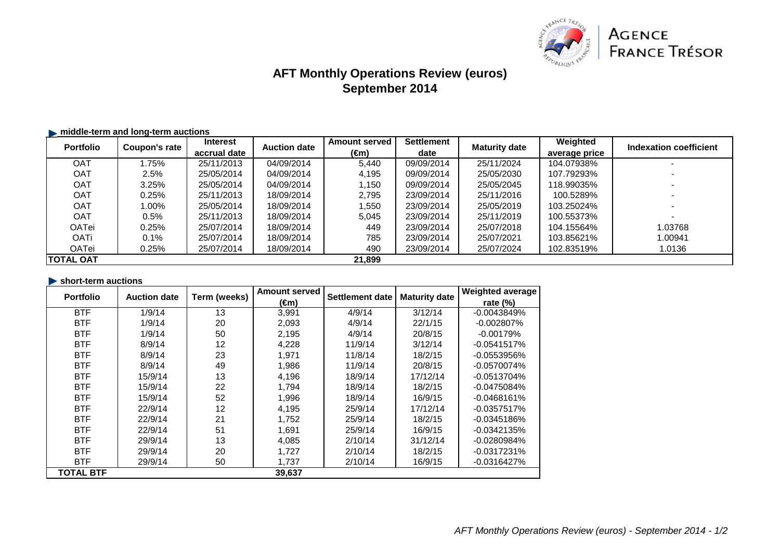

# **AFT Monthly Operations Review (euros)September 2014**

# $\blacktriangleright$  **middle-term and long-term auctions**

| <b>Portfolio</b> | Coupon's rate | <b>Interest</b> | <b>Auction date</b> | <b>Amount served</b> | <b>Settlement</b> | <b>Maturity date</b> | Weighted      | Indexation coefficient |
|------------------|---------------|-----------------|---------------------|----------------------|-------------------|----------------------|---------------|------------------------|
|                  |               | accrual date    |                     | (€m)                 | date              |                      | average price |                        |
| <b>OAT</b>       | .75%          | 25/11/2013      | 04/09/2014          | 5.440                | 09/09/2014        | 25/11/2024           | 104.07938%    |                        |
| OAT              | 2.5%          | 25/05/2014      | 04/09/2014          | 4.195                | 09/09/2014        | 25/05/2030           | 107.79293%    |                        |
| OAT              | 3.25%         | 25/05/2014      | 04/09/2014          | ,150                 | 09/09/2014        | 25/05/2045           | 118.99035%    |                        |
| OAT              | 0.25%         | 25/11/2013      | 18/09/2014          | 2.795                | 23/09/2014        | 25/11/2016           | 100.5289%     |                        |
| OAT              | 1.00%         | 25/05/2014      | 18/09/2014          | ,550                 | 23/09/2014        | 25/05/2019           | 103.25024%    |                        |
| OAT              | 0.5%          | 25/11/2013      | 18/09/2014          | 5.045                | 23/09/2014        | 25/11/2019           | 100.55373%    |                        |
| OATei            | $0.25\%$      | 25/07/2014      | 18/09/2014          | 449                  | 23/09/2014        | 25/07/2018           | 104.15564%    | 1.03768                |
| OATi             | 0.1%          | 25/07/2014      | 18/09/2014          | 785                  | 23/09/2014        | 25/07/2021           | 103.85621%    | 1.00941                |
| <b>OATei</b>     | 0.25%         | 25/07/2014      | 18/09/2014          | 490                  | 23/09/2014        | 25/07/2024           | 102.83519%    | 1.0136                 |
| <b>TOTAL OAT</b> |               |                 |                     | 21,899               |                   |                      |               |                        |

| short-term auctions |                     |              |                      |                 |                      |                         |
|---------------------|---------------------|--------------|----------------------|-----------------|----------------------|-------------------------|
| <b>Portfolio</b>    | <b>Auction date</b> | Term (weeks) | <b>Amount served</b> | Settlement date | <b>Maturity date</b> | <b>Weighted average</b> |
|                     |                     |              | $(\epsilon m)$       |                 |                      | rate $(%)$              |
| <b>BTF</b>          | 1/9/14              | 13           | 3,991                | 4/9/14          | 3/12/14              | $-0.0043849%$           |
| <b>BTF</b>          | 1/9/14              | 20           | 2,093                | 4/9/14          | 22/1/15              | $-0.002807\%$           |
| <b>BTF</b>          | 1/9/14              | 50           | 2,195                | 4/9/14          | 20/8/15              | $-0.00179%$             |
| <b>BTF</b>          | 8/9/14              | 12           | 4,228                | 11/9/14         | 3/12/14              | $-0.0541517%$           |
| <b>BTF</b>          | 8/9/14              | 23           | 1,971                | 11/8/14         | 18/2/15              | $-0.0553956%$           |
| <b>BTF</b>          | 8/9/14              | 49           | 1,986                | 11/9/14         | 20/8/15              | $-0.0570074%$           |
| <b>BTF</b>          | 15/9/14             | 13           | 4,196                | 18/9/14         | 17/12/14             | $-0.0513704%$           |
| <b>BTF</b>          | 15/9/14             | 22           | 1,794                | 18/9/14         | 18/2/15              | $-0.0475084%$           |
| <b>BTF</b>          | 15/9/14             | 52           | 1,996                | 18/9/14         | 16/9/15              | $-0.0468161%$           |
| <b>BTF</b>          | 22/9/14             | 12           | 4,195                | 25/9/14         | 17/12/14             | $-0.0357517%$           |
| <b>BTF</b>          | 22/9/14             | 21           | 1,752                | 25/9/14         | 18/2/15              | $-0.0345186%$           |
| <b>BTF</b>          | 22/9/14             | 51           | 1,691                | 25/9/14         | 16/9/15              | $-0.0342135%$           |
| <b>BTF</b>          | 29/9/14             | 13           | 4,085                | 2/10/14         | 31/12/14             | $-0.0280984%$           |
| <b>BTF</b>          | 29/9/14             | 20           | 1,727                | 2/10/14         | 18/2/15              | $-0.0317231%$           |
| <b>BTF</b>          | 29/9/14             | 50           | 1,737                | 2/10/14         | 16/9/15              | $-0.0316427%$           |
| <b>TOTAL BTF</b>    |                     |              | 39,637               |                 |                      |                         |